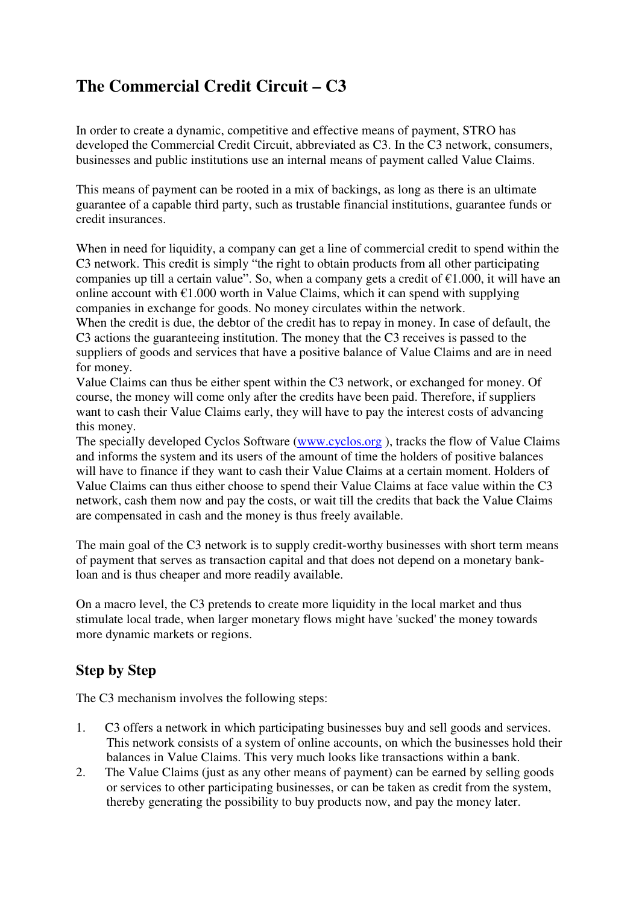# **The Commercial Credit Circuit – C3**

In order to create a dynamic, competitive and effective means of payment, STRO has developed the Commercial Credit Circuit, abbreviated as C3. In the C3 network, consumers, businesses and public institutions use an internal means of payment called Value Claims.

This means of payment can be rooted in a mix of backings, as long as there is an ultimate guarantee of a capable third party, such as trustable financial institutions, guarantee funds or credit insurances.

When in need for liquidity, a company can get a line of commercial credit to spend within the C3 network. This credit is simply "the right to obtain products from all other participating companies up till a certain value". So, when a company gets a credit of  $\epsilon$ 1.000, it will have an online account with  $\epsilon$ 1.000 worth in Value Claims, which it can spend with supplying companies in exchange for goods. No money circulates within the network.

When the credit is due, the debtor of the credit has to repay in money. In case of default, the C3 actions the guaranteeing institution. The money that the C3 receives is passed to the suppliers of goods and services that have a positive balance of Value Claims and are in need for money.

Value Claims can thus be either spent within the C3 network, or exchanged for money. Of course, the money will come only after the credits have been paid. Therefore, if suppliers want to cash their Value Claims early, they will have to pay the interest costs of advancing this money.

The specially developed Cyclos Software (www.cyclos.org ), tracks the flow of Value Claims and informs the system and its users of the amount of time the holders of positive balances will have to finance if they want to cash their Value Claims at a certain moment. Holders of Value Claims can thus either choose to spend their Value Claims at face value within the C3 network, cash them now and pay the costs, or wait till the credits that back the Value Claims are compensated in cash and the money is thus freely available.

The main goal of the C3 network is to supply credit-worthy businesses with short term means of payment that serves as transaction capital and that does not depend on a monetary bankloan and is thus cheaper and more readily available.

On a macro level, the C3 pretends to create more liquidity in the local market and thus stimulate local trade, when larger monetary flows might have 'sucked' the money towards more dynamic markets or regions.

## **Step by Step**

The C3 mechanism involves the following steps:

- 1. C3 offers a network in which participating businesses buy and sell goods and services. This network consists of a system of online accounts, on which the businesses hold their balances in Value Claims. This very much looks like transactions within a bank.
- 2. The Value Claims (just as any other means of payment) can be earned by selling goods or services to other participating businesses, or can be taken as credit from the system, thereby generating the possibility to buy products now, and pay the money later.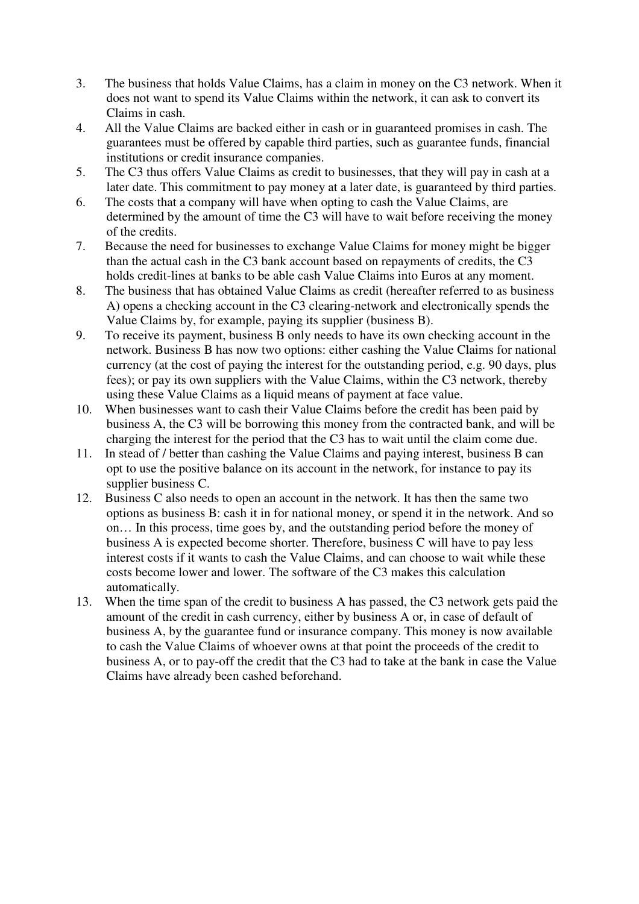- 3. The business that holds Value Claims, has a claim in money on the C3 network. When it does not want to spend its Value Claims within the network, it can ask to convert its Claims in cash.
- 4. All the Value Claims are backed either in cash or in guaranteed promises in cash. The guarantees must be offered by capable third parties, such as guarantee funds, financial institutions or credit insurance companies.
- 5. The C3 thus offers Value Claims as credit to businesses, that they will pay in cash at a later date. This commitment to pay money at a later date, is guaranteed by third parties.
- 6. The costs that a company will have when opting to cash the Value Claims, are determined by the amount of time the C3 will have to wait before receiving the money of the credits.
- 7. Because the need for businesses to exchange Value Claims for money might be bigger than the actual cash in the C3 bank account based on repayments of credits, the C3 holds credit-lines at banks to be able cash Value Claims into Euros at any moment.
- 8. The business that has obtained Value Claims as credit (hereafter referred to as business A) opens a checking account in the C3 clearing-network and electronically spends the Value Claims by, for example, paying its supplier (business B).
- 9. To receive its payment, business B only needs to have its own checking account in the network. Business B has now two options: either cashing the Value Claims for national currency (at the cost of paying the interest for the outstanding period, e.g. 90 days, plus fees); or pay its own suppliers with the Value Claims, within the C3 network, thereby using these Value Claims as a liquid means of payment at face value.
- 10. When businesses want to cash their Value Claims before the credit has been paid by business A, the C3 will be borrowing this money from the contracted bank, and will be charging the interest for the period that the C3 has to wait until the claim come due.
- 11. In stead of / better than cashing the Value Claims and paying interest, business B can opt to use the positive balance on its account in the network, for instance to pay its supplier business C.
- 12. Business C also needs to open an account in the network. It has then the same two options as business B: cash it in for national money, or spend it in the network. And so on… In this process, time goes by, and the outstanding period before the money of business A is expected become shorter. Therefore, business C will have to pay less interest costs if it wants to cash the Value Claims, and can choose to wait while these costs become lower and lower. The software of the C3 makes this calculation automatically.
- 13. When the time span of the credit to business A has passed, the C3 network gets paid the amount of the credit in cash currency, either by business A or, in case of default of business A, by the guarantee fund or insurance company. This money is now available to cash the Value Claims of whoever owns at that point the proceeds of the credit to business A, or to pay-off the credit that the C3 had to take at the bank in case the Value Claims have already been cashed beforehand.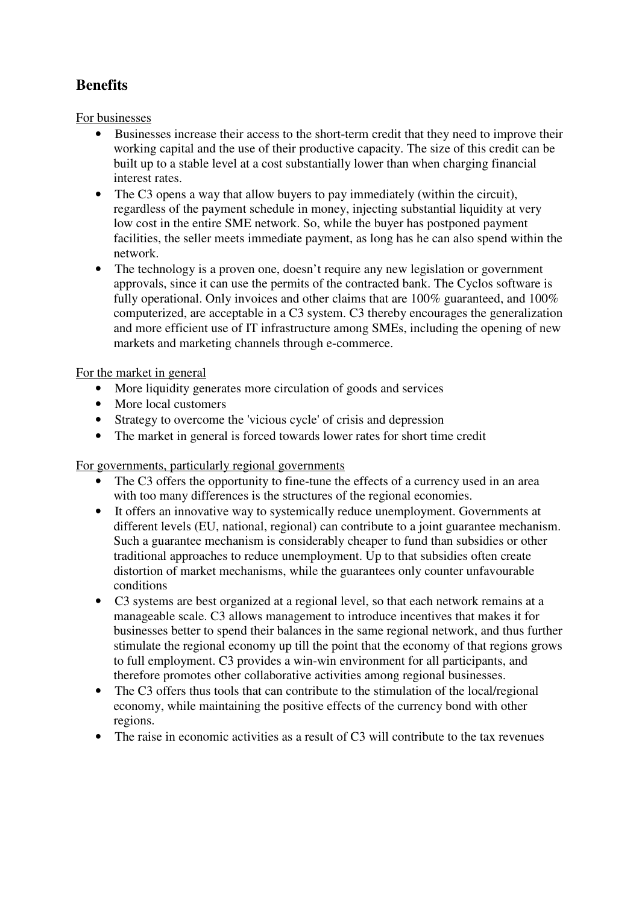## **Benefits**

For businesses

- Businesses increase their access to the short-term credit that they need to improve their working capital and the use of their productive capacity. The size of this credit can be built up to a stable level at a cost substantially lower than when charging financial interest rates.
- The C3 opens a way that allow buyers to pay immediately (within the circuit). regardless of the payment schedule in money, injecting substantial liquidity at very low cost in the entire SME network. So, while the buyer has postponed payment facilities, the seller meets immediate payment, as long has he can also spend within the network.
- The technology is a proven one, doesn't require any new legislation or government approvals, since it can use the permits of the contracted bank. The Cyclos software is fully operational. Only invoices and other claims that are 100% guaranteed, and 100% computerized, are acceptable in a C3 system. C3 thereby encourages the generalization and more efficient use of IT infrastructure among SMEs, including the opening of new markets and marketing channels through e-commerce.

## For the market in general

- More liquidity generates more circulation of goods and services
- More local customers
- Strategy to overcome the 'vicious cycle' of crisis and depression
- The market in general is forced towards lower rates for short time credit

For governments, particularly regional governments

- The C3 offers the opportunity to fine-tune the effects of a currency used in an area with too many differences is the structures of the regional economies.
- It offers an innovative way to systemically reduce unemployment. Governments at different levels (EU, national, regional) can contribute to a joint guarantee mechanism. Such a guarantee mechanism is considerably cheaper to fund than subsidies or other traditional approaches to reduce unemployment. Up to that subsidies often create distortion of market mechanisms, while the guarantees only counter unfavourable conditions
- C3 systems are best organized at a regional level, so that each network remains at a manageable scale. C3 allows management to introduce incentives that makes it for businesses better to spend their balances in the same regional network, and thus further stimulate the regional economy up till the point that the economy of that regions grows to full employment. C3 provides a win-win environment for all participants, and therefore promotes other collaborative activities among regional businesses.
- The C3 offers thus tools that can contribute to the stimulation of the local/regional economy, while maintaining the positive effects of the currency bond with other regions.
- The raise in economic activities as a result of  $C_3$  will contribute to the tax revenues